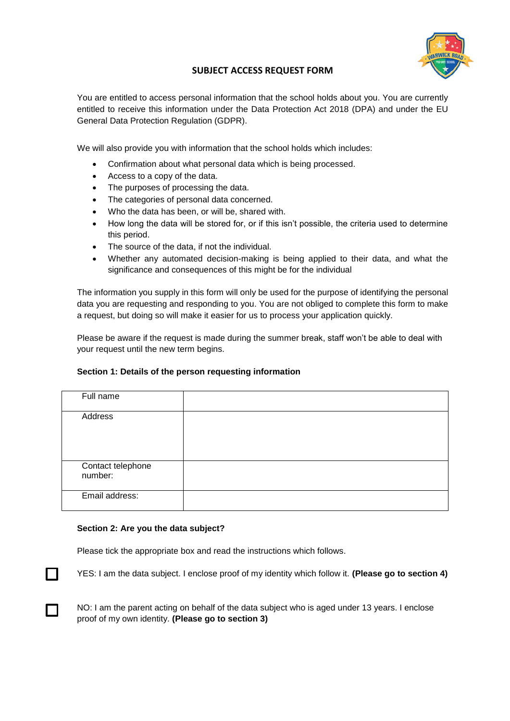

# **SUBJECT ACCESS REQUEST FORM**

You are entitled to access personal information that the school holds about you. You are currently entitled to receive this information under the Data Protection Act 2018 (DPA) and under the EU General Data Protection Regulation (GDPR).

We will also provide you with information that the school holds which includes:

- Confirmation about what personal data which is being processed.
- Access to a copy of the data.
- The purposes of processing the data.
- The categories of personal data concerned.
- Who the data has been, or will be, shared with.
- How long the data will be stored for, or if this isn't possible, the criteria used to determine this period.
- The source of the data, if not the individual.
- Whether any automated decision-making is being applied to their data, and what the significance and consequences of this might be for the individual

The information you supply in this form will only be used for the purpose of identifying the personal data you are requesting and responding to you. You are not obliged to complete this form to make a request, but doing so will make it easier for us to process your application quickly.

Please be aware if the request is made during the summer break, staff won't be able to deal with your request until the new term begins.

#### **Section 1: Details of the person requesting information**

| Full name                    |  |
|------------------------------|--|
| Address                      |  |
| Contact telephone<br>number: |  |
| Email address:               |  |

#### **Section 2: Are you the data subject?**

 $\Box$ 

П

Please tick the appropriate box and read the instructions which follows.

YES: I am the data subject. I enclose proof of my identity which follow it. **(Please go to section 4)**

NO: I am the parent acting on behalf of the data subject who is aged under 13 years. I enclose proof of my own identity. **(Please go to section 3)**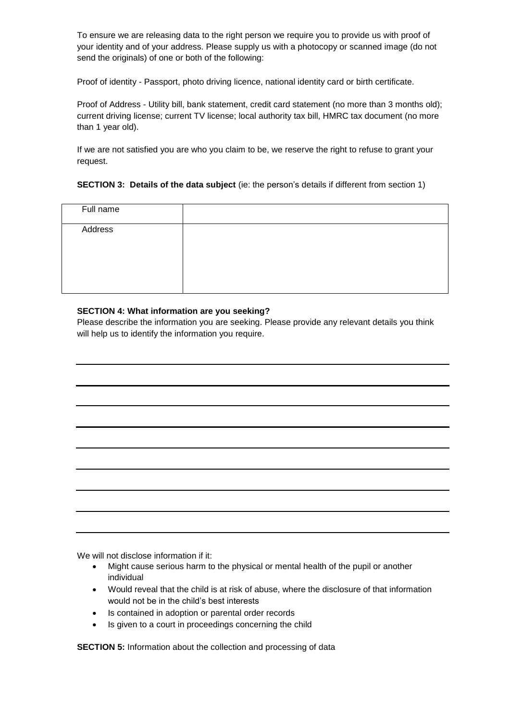To ensure we are releasing data to the right person we require you to provide us with proof of your identity and of your address. Please supply us with a photocopy or scanned image (do not send the originals) of one or both of the following:

Proof of identity - Passport, photo driving licence, national identity card or birth certificate.

Proof of Address - Utility bill, bank statement, credit card statement (no more than 3 months old); current driving license; current TV license; local authority tax bill, HMRC tax document (no more than 1 year old).

If we are not satisfied you are who you claim to be, we reserve the right to refuse to grant your request.

# **SECTION 3: Details of the data subject** (ie: the person's details if different from section 1)

| Full name |  |
|-----------|--|
| Address   |  |
|           |  |

# **SECTION 4: What information are you seeking?**

Please describe the information you are seeking. Please provide any relevant details you think will help us to identify the information you require.

We will not disclose information if it:

- Might cause serious harm to the physical or mental health of the pupil or another individual
- Would reveal that the child is at risk of abuse, where the disclosure of that information would not be in the child's best interests
- Is contained in adoption or parental order records
- Is given to a court in proceedings concerning the child

**SECTION 5:** Information about the collection and processing of data